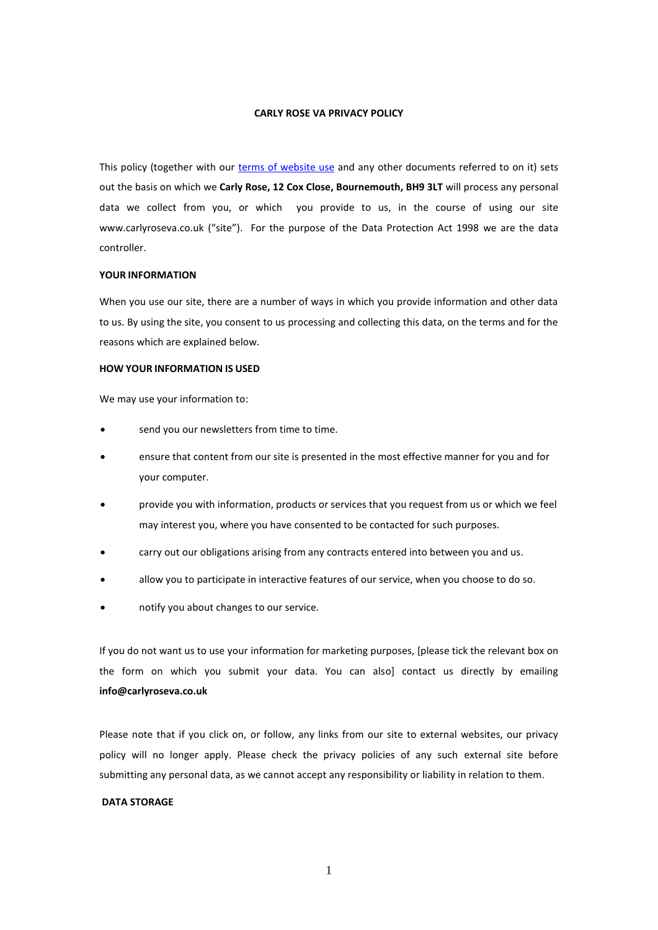#### **CARLY ROSE VA PRIVACY POLICY**

This policy (together with our [terms of website use](https://carlyroseva.co.uk/wp-content/uploads/2022/03/Website-Terms-of-Use.pdf) and any other documents referred to on it) sets out the basis on which we **Carly Rose, 12 Cox Close, Bournemouth, BH9 3LT** will process any personal data we collect from you, or which you provide to us, in the course of using our site www.carlyroseva.co.uk ("site"). For the purpose of the Data Protection Act 1998 we are the data controller.

# **YOUR INFORMATION**

When you use our site, there are a number of ways in which you provide information and other data to us. By using the site, you consent to us processing and collecting this data, on the terms and for the reasons which are explained below.

### **HOW YOUR INFORMATION IS USED**

We may use your information to:

- send you our newsletters from time to time.
- ensure that content from our site is presented in the most effective manner for you and for your computer.
- provide you with information, products or services that you request from us or which we feel may interest you, where you have consented to be contacted for such purposes.
- carry out our obligations arising from any contracts entered into between you and us.
- allow you to participate in interactive features of our service, when you choose to do so.
- notify you about changes to our service.

If you do not want us to use your information for marketing purposes, [please tick the relevant box on the form on which you submit your data. You can also] contact us directly by emailing **info@carlyroseva.co.uk**

Please note that if you click on, or follow, any links from our site to external websites, our privacy policy will no longer apply. Please check the privacy policies of any such external site before submitting any personal data, as we cannot accept any responsibility or liability in relation to them.

#### **DATA STORAGE**

1